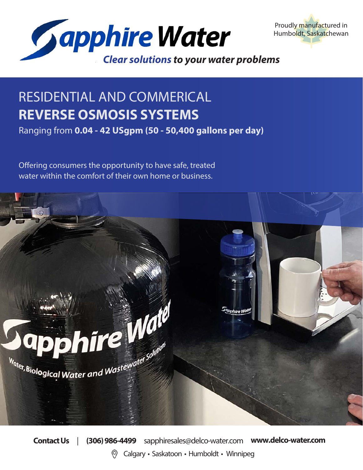



# RESIDENTIAL AND COMMERICAL **REVERSE OSMOSIS SYSTEMS**

Ranging from **0.04 - 42 USgpm (50 - 50,400 gallons per day)**

Offering consumers the opportunity to have safe, treated water within the comfort of their own home or business.



**Contact Us** | **(306) 986-4499** sapphiresales@delco-water.com **www.delco-water.com** Calgary • Saskatoon • Humboldt • Winnipeg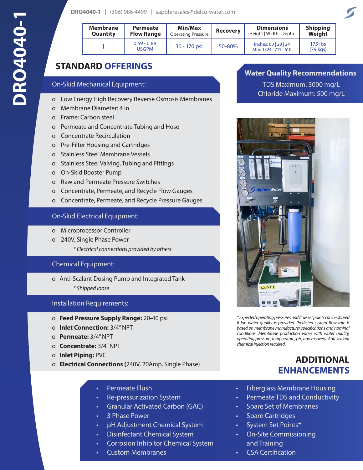| <b>Membrane</b><br><b>Quantity</b> | <b>Permeate</b><br><b>Flow Range</b> | Min/Max<br><b>Operating Pressure</b> | <b>Recovery</b> | <b>Dimensions</b><br>Height   Width   Depth  | <b>Shipping</b><br>Weight |
|------------------------------------|--------------------------------------|--------------------------------------|-----------------|----------------------------------------------|---------------------------|
|                                    | $0.59 - 0.88$<br><b>USGPM</b>        | 30 - 170 psi                         | 50-80%          | Inches: 60   28   24<br>Mm: 1524   711   610 | $175$ lbs<br>(79 kgs)     |

# **STANDARD OFFERINGS**

#### On-Skid Mechanical Equipment:

- o Low Energy High Recovery Reverse Osmosis Membranes
- o Membrane Diameter: 4 in
- o Frame: Carbon steel
- o Permeate and Concentrate Tubing and Hose
- o Concentrate Recirculation
- o Pre-Filter Housing and Cartridges
- o Stainless Steel Membrane Vessels
- o Stainless Steel Valving, Tubing and Fittings
- o On-Skid Booster Pump
- o Raw and Permeate Pressure Switches
- o Concentrate, Permeate, and Recycle Flow Gauges
- o Concentrate, Permeate, and Recycle Pressure Gauges

#### On-Skid Electrical Equipment:

- o Microprocessor Controller
- o 240V, Single Phase Power
	- *\* Electrical connections provided by others*

#### Chemical Equipment:

o Anti-Scalant Dosing Pump and Integrated Tank

*\* Shipped loose*

#### Installation Requirements:

- o **Feed Pressure Supply Range:** 20-40 psi
- o **Inlet Connection:** 3/4" NPT
- o **Permeate:** 3/4" NPT
- o **Concentrate:** 3/4" NPT
- o **Inlet Piping:** PVC
- o **Electrical Connections (**240V, 20Amp, Single Phase)
	- Permeate Flush
	- Re-pressurization System
	- Granular Activated Carbon (GAC)
	- 3 Phase Power
	- pH Adjustment Chemical System
	- Disinfectant Chemical System
	- Corrosion Inhibitor Chemical System
	- Custom Membranes

### **Water Quality Recommendations**

TDS Maximum: 3000 mg/L Chloride Maximum: 500 mg/L



*\* Expected operating pressures and flow set points can be shared if lab water quality is provided. Predicted system flow rate is based on membrane manufacturer specifications and nominal conditions. Membrane production varies with water quality, operating pressure, temperature, pH, and recovery. Anti-scalant chemical injection required.* 

# **ADDITIONAL ENHANCEMENTS**

- Fiberglass Membrane Housing
- Permeate TDS and Conductivity
- Spare Set of Membranes
- Spare Cartridges
- System Set Points\*
- On-Site Commissioning and Training
- CSA Certification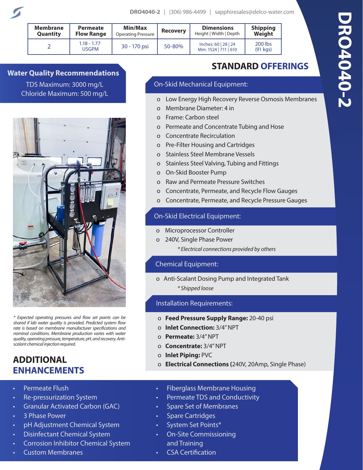| <b>Membrane</b><br><b>Quantity</b> | Min/Max<br>Permeate<br><b>Flow Range</b><br><b>Operating Pressure</b> |              | <b>Recovery</b> | <b>Dimensions</b><br>Height   Width   Depth  | <b>Shipping</b><br>Weight |
|------------------------------------|-----------------------------------------------------------------------|--------------|-----------------|----------------------------------------------|---------------------------|
|                                    | $1.18 - 1.77$<br><b>USGPM</b>                                         | 30 - 170 psi | 50-80%          | Inches: 60   28   24<br>Mm: 1524   711   610 | 200 lbs<br>$(91$ kgs)     |

**Water Quality Recommendations** TDS Maximum: 3000 mg/L Chloride Maximum: 500 mg/L



*\* Expected operating pressures and flow set points can be shared if lab water quality is provided. Predicted system flow rate is based on membrane manufacturer specifications and nominal conditions. Membrane production varies with water quality, operating pressure, temperature, pH, and recovery. Antiscalant chemical injection required.* 

# **ADDITIONAL ENHANCEMENTS**

- Permeate Flush
- Re-pressurization System
- Granular Activated Carbon (GAC)
- 3 Phase Power
- pH Adjustment Chemical System
- Disinfectant Chemical System
- Corrosion Inhibitor Chemical System
- Custom Membranes

# **STANDARD OFFERINGS**

## On-Skid Mechanical Equipment:

- o Low Energy High Recovery Reverse Osmosis Membranes
- o Membrane Diameter: 4 in
- o Frame: Carbon steel
- o Permeate and Concentrate Tubing and Hose
- o Concentrate Recirculation
- o Pre-Filter Housing and Cartridges
- o Stainless Steel Membrane Vessels
- o Stainless Steel Valving, Tubing and Fittings
- o On-Skid Booster Pump
- o Raw and Permeate Pressure Switches
- o Concentrate, Permeate, and Recycle Flow Gauges
- o Concentrate, Permeate, and Recycle Pressure Gauges

### On-Skid Electrical Equipment:

- o Microprocessor Controller
- o 240V, Single Phase Power
	- *\* Electrical connections provided by others*

### Chemical Equipment:

o Anti-Scalant Dosing Pump and Integrated Tank

*\* Shipped loose*

### Installation Requirements:

- o **Feed Pressure Supply Range:** 20-40 psi
- o **Inlet Connection:** 3/4" NPT
- o **Permeate:** 3/4" NPT
- o **Concentrate:** 3/4" NPT
- o **Inlet Piping:** PVC
- o **Electrical Connections (**240V, 20Amp, Single Phase)
- Fiberglass Membrane Housing
- Permeate TDS and Conductivity
- Spare Set of Membranes
- Spare Cartridges
- System Set Points\*
- On-Site Commissioning and Training
- CSA Certification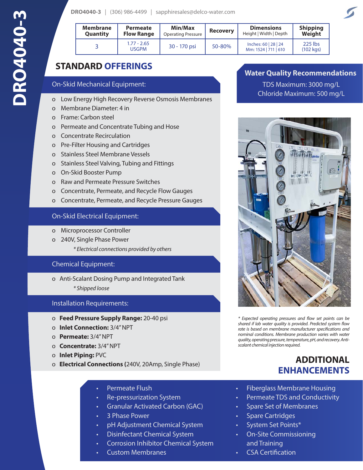| DRO4040-3   $(306)$ 986-4499 |  | sapphiresales@delco-water.com |  |
|------------------------------|--|-------------------------------|--|
|------------------------------|--|-------------------------------|--|

| <b>Membrane</b><br><b>Quantity</b> | <b>Permeate</b><br><b>Flow Range</b> | Min/Max<br><b>Operating Pressure</b> | <b>Recovery</b> | <b>Dimensions</b><br>Height   Width   Depth  | <b>Shipping</b><br>Weight     |
|------------------------------------|--------------------------------------|--------------------------------------|-----------------|----------------------------------------------|-------------------------------|
|                                    | $1.77 - 2.65$<br><b>USGPM</b>        | 30 - 170 psi                         | 50-80%          | Inches: 60   28   24<br>Mm: 1524   711   610 | 225 lbs<br>$(102 \text{ kg})$ |

# **STANDARD OFFERINGS**

#### On-Skid Mechanical Equipment:

- o Low Energy High Recovery Reverse Osmosis Membranes
- o Membrane Diameter: 4 in
- o Frame: Carbon steel
- o Permeate and Concentrate Tubing and Hose
- o Concentrate Recirculation
- o Pre-Filter Housing and Cartridges
- o Stainless Steel Membrane Vessels
- o Stainless Steel Valving, Tubing and Fittings
- o On-Skid Booster Pump
- o Raw and Permeate Pressure Switches
- o Concentrate, Permeate, and Recycle Flow Gauges
- o Concentrate, Permeate, and Recycle Pressure Gauges

#### On-Skid Electrical Equipment:

- o Microprocessor Controller
- o 240V, Single Phase Power
	- *\* Electrical connections provided by others*

#### Chemical Equipment:

- o Anti-Scalant Dosing Pump and Integrated Tank
	- *\* Shipped loose*

#### Installation Requirements:

- o **Feed Pressure Supply Range:** 20-40 psi
- o **Inlet Connection:** 3/4" NPT
- o **Permeate:** 3/4" NPT
- o **Concentrate:** 3/4" NPT
- o **Inlet Piping:** PVC
- o **Electrical Connections (**240V, 20Amp, Single Phase)
	- Permeate Flush
	- Re-pressurization System
	- Granular Activated Carbon (GAC)
	- 3 Phase Power
	- pH Adjustment Chemical System
	- Disinfectant Chemical System
	- Corrosion Inhibitor Chemical System
	- Custom Membranes

# **Water Quality Recommendations**

TDS Maximum: 3000 mg/L Chloride Maximum: 500 mg/L



*\* Expected operating pressures and flow set points can be shared if lab water quality is provided. Predicted system flow rate is based on membrane manufacturer specifications and nominal conditions. Membrane production varies with water quality, operating pressure, temperature, pH, and recovery. Antiscalant chemical injection required.* 

# **ADDITIONAL ENHANCEMENTS**

- Fiberglass Membrane Housing
- Permeate TDS and Conductivity
- Spare Set of Membranes
- Spare Cartridges
- System Set Points\*
- On-Site Commissioning and Training
- CSA Certification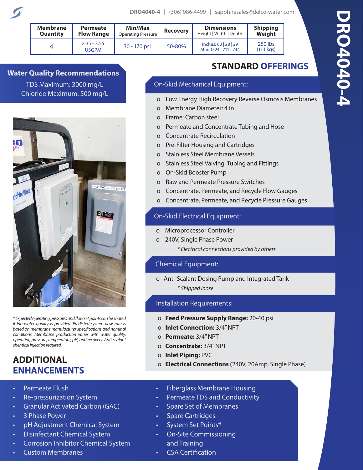| <b>Membrane</b><br>Permeate<br>Quantity<br><b>Flow Range</b> |                        | Min/Max<br><b>Operating Pressure</b> | <b>Recovery</b> | <b>Dimensions</b><br>Height   Width   Depth  | <b>Shipping</b><br>Weight     |  |
|--------------------------------------------------------------|------------------------|--------------------------------------|-----------------|----------------------------------------------|-------------------------------|--|
| 4                                                            | $2.35 - 3.55$<br>USGPM | 30 - 170 psi                         | 50-80%          | Inches: 60   28   29<br>Mm: 1524   711   744 | 250 lbs<br>$(113 \text{ kg})$ |  |

**Water Quality Recommendations** TDS Maximum: 3000 mg/L Chloride Maximum: 500 mg/L



*\* Expected operating pressures and flow set points can be shared if lab water quality is provided. Predicted system flow rate is based on membrane manufacturer specifications and nominal conditions. Membrane production varies with water quality, operating pressure, temperature, pH, and recovery. Anti-scalant chemical injection required.* 

# **ADDITIONAL ENHANCEMENTS**

- Permeate Flush
- Re-pressurization System
- Granular Activated Carbon (GAC)
- 3 Phase Power
- pH Adjustment Chemical System
- Disinfectant Chemical System
- Corrosion Inhibitor Chemical System
- Custom Membranes

# **STANDARD OFFERINGS**

## On-Skid Mechanical Equipment:

- o Low Energy High Recovery Reverse Osmosis Membranes
- o Membrane Diameter: 4 in
- o Frame: Carbon steel
- o Permeate and Concentrate Tubing and Hose
- o Concentrate Recirculation
- o Pre-Filter Housing and Cartridges
- o Stainless Steel Membrane Vessels
- o Stainless Steel Valving, Tubing and Fittings
- o On-Skid Booster Pump
- o Raw and Permeate Pressure Switches
- o Concentrate, Permeate, and Recycle Flow Gauges
- o Concentrate, Permeate, and Recycle Pressure Gauges

## On-Skid Electrical Equipment:

- o Microprocessor Controller
- o 240V, Single Phase Power
	- *\* Electrical connections provided by others*

## Chemical Equipment:

o Anti-Scalant Dosing Pump and Integrated Tank

*\* Shipped loose*

## Installation Requirements:

- o **Feed Pressure Supply Range:** 20-40 psi
- o **Inlet Connection:** 3/4" NPT
- o **Permeate:** 3/4" NPT
- o **Concentrate:** 3/4" NPT
- o **Inlet Piping:** PVC
- o **Electrical Connections (**240V, 20Amp, Single Phase)
- Fiberglass Membrane Housing
- Permeate TDS and Conductivity
- Spare Set of Membranes
- Spare Cartridges
- System Set Points\*
- On-Site Commissioning and Training
- CSA Certification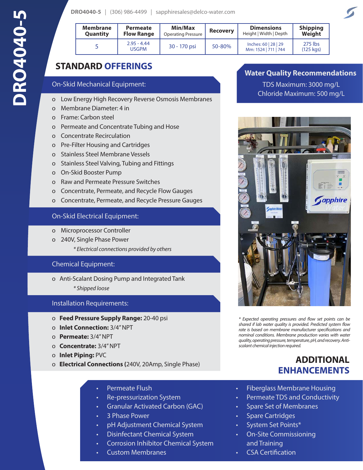|  |  | <b>DRO4040-5</b>   $(306)$ 986-4499   sapphiresales@delco-water.com |
|--|--|---------------------------------------------------------------------|
|  |  |                                                                     |

| <b>Membrane</b> | <b>Permeate</b>        | <b>Min/Max</b>            | <b>Recovery</b> | <b>Dimensions</b>                            | <b>Shipping</b>               |
|-----------------|------------------------|---------------------------|-----------------|----------------------------------------------|-------------------------------|
| Quantity        | <b>Flow Range</b>      | <b>Operating Pressure</b> |                 | Height   Width   Depth                       | Weight                        |
|                 | $2.95 - 4.44$<br>USGPM | 30 - 170 psi              | 50-80%          | Inches: 60   28   29<br>Mm: 1524   711   744 | 275 lbs<br>$(125 \text{ kg})$ |

# **STANDARD OFFERINGS**

#### On-Skid Mechanical Equipment:

- o Low Energy High Recovery Reverse Osmosis Membranes
- o Membrane Diameter: 4 in
- o Frame: Carbon steel
- o Permeate and Concentrate Tubing and Hose
- o Concentrate Recirculation
- o Pre-Filter Housing and Cartridges
- o Stainless Steel Membrane Vessels
- o Stainless Steel Valving, Tubing and Fittings
- o On-Skid Booster Pump
- o Raw and Permeate Pressure Switches
- o Concentrate, Permeate, and Recycle Flow Gauges
- o Concentrate, Permeate, and Recycle Pressure Gauges

#### On-Skid Electrical Equipment:

- o Microprocessor Controller
- o 240V, Single Phase Power
	- *\* Electrical connections provided by others*

### Chemical Equipment:

- o Anti-Scalant Dosing Pump and Integrated Tank
	- *\* Shipped loose*

### Installation Requirements:

- o **Feed Pressure Supply Range:** 20-40 psi
- o **Inlet Connection:** 3/4" NPT
- o **Permeate:** 3/4" NPT
- o **Concentrate:** 3/4" NPT
- o **Inlet Piping:** PVC
- o **Electrical Connections (**240V, 20Amp, Single Phase)
	- Permeate Flush
	- Re-pressurization System
	- Granular Activated Carbon (GAC)
	- 3 Phase Power
	- pH Adjustment Chemical System
	- Disinfectant Chemical System
	- Corrosion Inhibitor Chemical System
	- Custom Membranes

## **Water Quality Recommendations**

TDS Maximum: 3000 mg/L Chloride Maximum: 500 mg/L



*\* Expected operating pressures and flow set points can be shared if lab water quality is provided. Predicted system flow rate is based on membrane manufacturer specifications and nominal conditions. Membrane production varies with water quality, operating pressure, temperature, pH, and recovery. Antiscalant chemical injection required.* 

# **ADDITIONAL ENHANCEMENTS**

- Fiberglass Membrane Housing
- Permeate TDS and Conductivity
- Spare Set of Membranes
- Spare Cartridges
- System Set Points\*
- On-Site Commissioning and Training
- CSA Certification